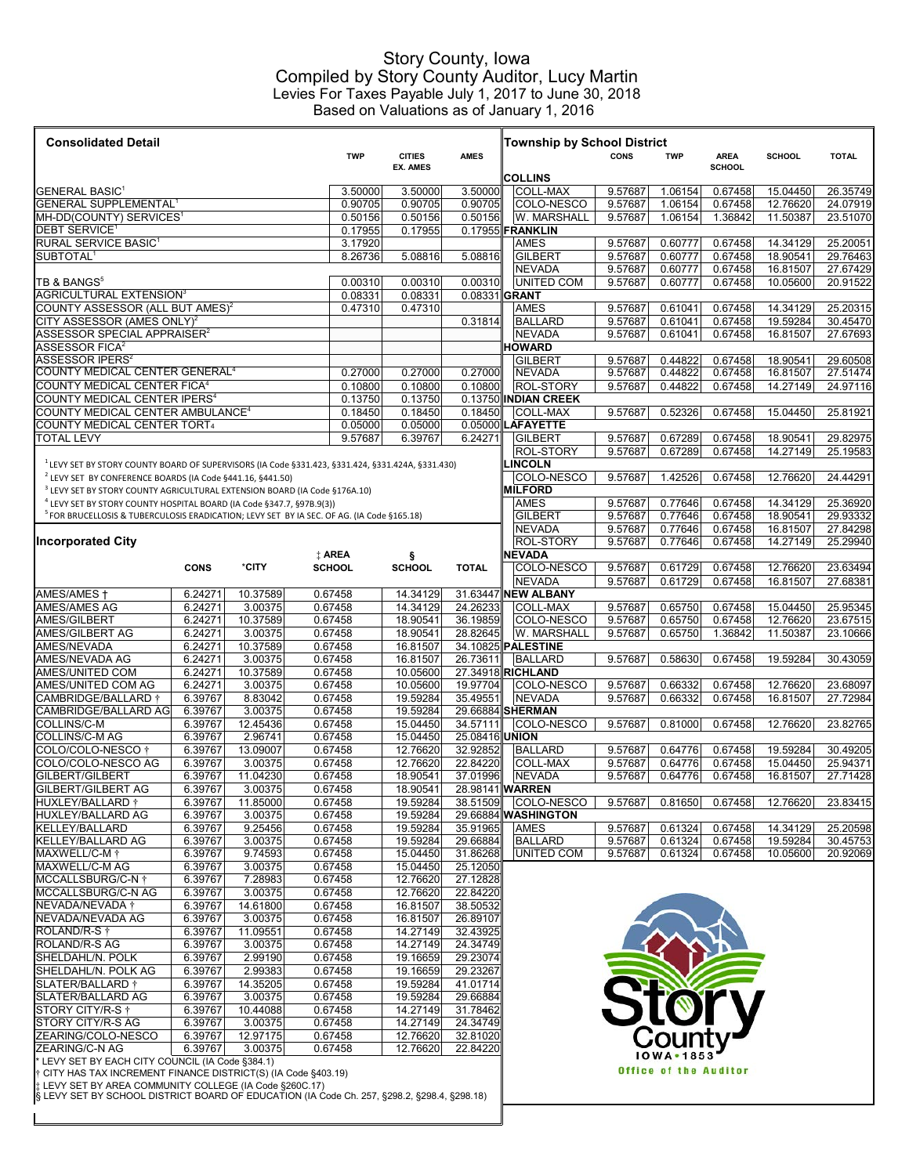## Story County, Iowa Compiled by Story County Auditor, Lucy Martin Levies For Taxes Payable July 1, 2017 to June 30, 2018 Based on Valuations as of January 1, 2016

| <b>Consolidated Detail</b>                                                                                                                                                                                                                                                                                                                                                                                                                                                                                                                                                                                                                                                                                                                                                                                                                                                                                                                             |                    |                     |                    |                      |                                    |                                      |                    |                              |                    |                      |                      |
|--------------------------------------------------------------------------------------------------------------------------------------------------------------------------------------------------------------------------------------------------------------------------------------------------------------------------------------------------------------------------------------------------------------------------------------------------------------------------------------------------------------------------------------------------------------------------------------------------------------------------------------------------------------------------------------------------------------------------------------------------------------------------------------------------------------------------------------------------------------------------------------------------------------------------------------------------------|--------------------|---------------------|--------------------|----------------------|------------------------------------|--------------------------------------|--------------------|------------------------------|--------------------|----------------------|----------------------|
|                                                                                                                                                                                                                                                                                                                                                                                                                                                                                                                                                                                                                                                                                                                                                                                                                                                                                                                                                        |                    | <b>TWP</b>          | <b>CITIES</b>      | <b>AMES</b>          | <b>Township by School District</b> | CONS                                 | <b>TWP</b>         | <b>AREA</b>                  | <b>SCHOOL</b>      | <b>TOTAL</b>         |                      |
|                                                                                                                                                                                                                                                                                                                                                                                                                                                                                                                                                                                                                                                                                                                                                                                                                                                                                                                                                        |                    |                     |                    | <b>EX. AMES</b>      |                                    | <b>COLLINS</b>                       |                    |                              | <b>SCHOOL</b>      |                      |                      |
| GENERAL BASIC <sup>1</sup>                                                                                                                                                                                                                                                                                                                                                                                                                                                                                                                                                                                                                                                                                                                                                                                                                                                                                                                             |                    |                     | 3.50000            | 3.50000              | 3.50000                            | <b>COLL-MAX</b>                      | 9.57687            | 1.06154                      | 0.67458            | 15.04450             | 26.35749             |
| <b>GENERAL SUPPLEMENTAL<sup>1</sup></b><br>MH-DD(COUNTY) SERVICES <sup>1</sup>                                                                                                                                                                                                                                                                                                                                                                                                                                                                                                                                                                                                                                                                                                                                                                                                                                                                         |                    |                     | 0.90705<br>0.50156 | 0.90705<br>0.50156   | 0.90705<br>0.50156                 | COLO-NESCO<br>W. MARSHALL            | 9.57687<br>9.57687 | 1.06154<br>1.06154           | 0.67458<br>1.36842 | 12.76620<br>11.50387 | 24.07919<br>23.51070 |
| <b>DEBT SERVICE<sup>1</sup></b>                                                                                                                                                                                                                                                                                                                                                                                                                                                                                                                                                                                                                                                                                                                                                                                                                                                                                                                        | 0.17955            | 0.17955             |                    | 0.17955 FRANKLIN     |                                    |                                      |                    |                              |                    |                      |                      |
| RURAL SERVICE BASIC <sup>1</sup>                                                                                                                                                                                                                                                                                                                                                                                                                                                                                                                                                                                                                                                                                                                                                                                                                                                                                                                       |                    |                     | 3.17920            |                      |                                    | <b>AMES</b>                          | 9.57687            | 0.60777                      | 0.67458            | 14.34129             | 25.20051             |
| SUBTOTAL <sup>1</sup>                                                                                                                                                                                                                                                                                                                                                                                                                                                                                                                                                                                                                                                                                                                                                                                                                                                                                                                                  |                    |                     | 8.26736            | 5.08816              | 5.08816                            | <b>GILBERT</b>                       | 9.57687            | 0.60777                      | 0.67458            | 18.90541             | 29.76463             |
| TB & BANGS <sup>5</sup>                                                                                                                                                                                                                                                                                                                                                                                                                                                                                                                                                                                                                                                                                                                                                                                                                                                                                                                                |                    |                     | 0.00310            | 0.00310              | 0.00310                            | <b>NEVADA</b><br><b>UNITED COM</b>   | 9.57687<br>9.57687 | 0.60777<br>0.60777           | 0.67458<br>0.67458 | 16.81507<br>10.05600 | 27.67429<br>20.91522 |
| <b>AGRICULTURAL EXTENSION3</b>                                                                                                                                                                                                                                                                                                                                                                                                                                                                                                                                                                                                                                                                                                                                                                                                                                                                                                                         |                    |                     | 0.08331            | 0.08331              |                                    | 0.08331 GRANT                        |                    |                              |                    |                      |                      |
| COUNTY ASSESSOR (ALL BUT AMES) <sup>2</sup>                                                                                                                                                                                                                                                                                                                                                                                                                                                                                                                                                                                                                                                                                                                                                                                                                                                                                                            |                    |                     | 0.47310            | 0.47310              |                                    | <b>AMES</b>                          | 9.57687            | 0.61041                      | 0.67458            | 14.34129             | 25.20315             |
| CITY ASSESSOR (AMES ONLY) <sup>2</sup>                                                                                                                                                                                                                                                                                                                                                                                                                                                                                                                                                                                                                                                                                                                                                                                                                                                                                                                 |                    |                     |                    |                      | 0.31814                            | <b>BALLARD</b>                       | 9.57687            | 0.61041                      | 0.67458            | 19.59284             | 30.45470             |
| ASSESSOR SPECIAL APPRAISER <sup>2</sup><br><b>ASSESSOR FICA<sup>2</sup></b>                                                                                                                                                                                                                                                                                                                                                                                                                                                                                                                                                                                                                                                                                                                                                                                                                                                                            |                    |                     |                    |                      |                                    | <b>NEVADA</b><br><b>HOWARD</b>       | 9.57687            | 0.61041                      | 0.67458            | 16.81507             | 27.67693             |
| ASSESSOR IPERS <sup>2</sup>                                                                                                                                                                                                                                                                                                                                                                                                                                                                                                                                                                                                                                                                                                                                                                                                                                                                                                                            |                    |                     |                    |                      |                                    | <b>GILBERT</b>                       | 9.57687            | 0.44822                      | 0.67458            | 18.90541             | 29.60508             |
| COUNTY MEDICAL CENTER GENERAL <sup>4</sup>                                                                                                                                                                                                                                                                                                                                                                                                                                                                                                                                                                                                                                                                                                                                                                                                                                                                                                             |                    |                     | 0.27000            | 0.27000              | 0.27000                            | <b>NEVADA</b>                        | 9.57687            | 0.44822                      | 0.67458            | 16.81507             | 27.51474             |
| COUNTY MEDICAL CENTER FICA <sup>4</sup>                                                                                                                                                                                                                                                                                                                                                                                                                                                                                                                                                                                                                                                                                                                                                                                                                                                                                                                |                    |                     | 0.10800            | 0.10800              | 0.10800                            | ROL-STORY                            | 9.57687            | 0.44822                      | 0.67458            | 14.27149             | 24.97116             |
|                                                                                                                                                                                                                                                                                                                                                                                                                                                                                                                                                                                                                                                                                                                                                                                                                                                                                                                                                        |                    |                     | 0.13750            | 0.13750              |                                    | 0.13750 INDIAN CREEK                 |                    |                              |                    |                      |                      |
|                                                                                                                                                                                                                                                                                                                                                                                                                                                                                                                                                                                                                                                                                                                                                                                                                                                                                                                                                        |                    |                     | 0.18450            | 0.18450<br>0.05000   | 0.18450                            | <b>COLL-MAX</b>                      | 9.57687            | 0.52326                      | 0.67458            | 15.04450             | 25.81921             |
|                                                                                                                                                                                                                                                                                                                                                                                                                                                                                                                                                                                                                                                                                                                                                                                                                                                                                                                                                        |                    |                     | 0.05000<br>9.57687 | 6.39767              | 6.24271                            | 0.05000 LAFAYETTE<br><b>GILBERT</b>  | 9.57687            | 0.67289                      | 0.67458            | 18.90541             | 29.82975             |
| COUNTY MEDICAL CENTER IPERS <sup>4</sup><br>COUNTY MEDICAL CENTER AMBULANCE <sup>4</sup><br>COUNTY MEDICAL CENTER TORT4<br><b>TOTAL LEVY</b><br>LEVY SET BY STORY COUNTY BOARD OF SUPERVISORS (IA Code §331.423, §331.424, §331.424A, §331.430)<br><sup>2</sup> LEVY SET BY CONFERENCE BOARDS (IA Code §441.16, §441.50)<br><sup>3</sup> LEVY SET BY STORY COUNTY AGRICULTURAL EXTENSION BOARD (IA Code §176A.10)<br><sup>4</sup> LEVY SET BY STORY COUNTY HOSPITAL BOARD (IA Code §347.7, §97B.9(3))<br><sup>5</sup> FOR BRUCELLOSIS & TUBERCULOSIS ERADICATION; LEVY SET BY IA SEC. OF AG. (IA Code §165.18)<br>Incorporated City<br>*CITY<br><b>CONS</b><br>10.37589<br>AMES/AMES +<br>6.24271<br>AMES/AMES AG<br>3.00375<br>6.24271<br>AMES/GILBERT<br>6.24271<br>10.37589<br><b>AMES/GILBERT AG</b><br>6.24271<br>3.00375<br>AMES/NEVADA<br>6.24271<br>10.37589<br>AMES/NEVADA AG<br>6.24271<br>3.00375<br>AMES/UNITED COM<br>6.24271<br>10.37589 |                    |                     |                    |                      | <b>ROL-STORY</b>                   | 9.57687                              | 0.67289            | 0.67458                      | 14.27149           | 25.19583             |                      |
|                                                                                                                                                                                                                                                                                                                                                                                                                                                                                                                                                                                                                                                                                                                                                                                                                                                                                                                                                        |                    |                     |                    |                      |                                    | <b>LINCOLN</b>                       |                    |                              |                    |                      |                      |
|                                                                                                                                                                                                                                                                                                                                                                                                                                                                                                                                                                                                                                                                                                                                                                                                                                                                                                                                                        |                    |                     |                    |                      |                                    | COLO-NESCO                           | 9.57687            | 1.42526                      | 0.67458            | 12.76620             | 24.44291             |
|                                                                                                                                                                                                                                                                                                                                                                                                                                                                                                                                                                                                                                                                                                                                                                                                                                                                                                                                                        |                    |                     |                    |                      |                                    | <b>MILFORD</b>                       |                    |                              |                    |                      |                      |
|                                                                                                                                                                                                                                                                                                                                                                                                                                                                                                                                                                                                                                                                                                                                                                                                                                                                                                                                                        |                    |                     |                    |                      |                                    | <b>AMES</b><br><b>GILBERT</b>        | 9.57687<br>9.57687 | 0.77646<br>0.77646           | 0.67458<br>0.67458 | 14.34129<br>18.90541 | 25.36920<br>29.93332 |
|                                                                                                                                                                                                                                                                                                                                                                                                                                                                                                                                                                                                                                                                                                                                                                                                                                                                                                                                                        |                    |                     |                    |                      |                                    | <b>NEVADA</b>                        | 9.57687            | 0.77646                      | 0.67458            | 16.81507             | 27.84298             |
|                                                                                                                                                                                                                                                                                                                                                                                                                                                                                                                                                                                                                                                                                                                                                                                                                                                                                                                                                        |                    |                     |                    |                      |                                    | <b>ROL-STORY</b>                     | 9.57687            | 0.77646                      | 0.67458            | 14.27149             | 25.29940             |
|                                                                                                                                                                                                                                                                                                                                                                                                                                                                                                                                                                                                                                                                                                                                                                                                                                                                                                                                                        |                    |                     | <b>‡ AREA</b>      | ş                    |                                    | <b>NEVADA</b>                        |                    |                              |                    |                      |                      |
|                                                                                                                                                                                                                                                                                                                                                                                                                                                                                                                                                                                                                                                                                                                                                                                                                                                                                                                                                        |                    |                     | <b>SCHOOL</b>      | <b>SCHOOL</b>        | <b>TOTAL</b>                       | COLO-NESCO                           | 9.57687            | 0.61729                      | 0.67458            | 12.76620             | 23.63494             |
|                                                                                                                                                                                                                                                                                                                                                                                                                                                                                                                                                                                                                                                                                                                                                                                                                                                                                                                                                        |                    |                     | 0.67458            | 14.34129             |                                    | <b>NEVADA</b><br>31.63447 NEW ALBANY | 9.57687            | 0.61729                      | 0.67458            | 16.81507             | 27.68381             |
|                                                                                                                                                                                                                                                                                                                                                                                                                                                                                                                                                                                                                                                                                                                                                                                                                                                                                                                                                        |                    |                     | 0.67458            | 14.34129             | 24.26233                           | <b>COLL-MAX</b>                      | 9.57687            | 0.65750                      | 0.67458            | 15.04450             | 25.95345             |
|                                                                                                                                                                                                                                                                                                                                                                                                                                                                                                                                                                                                                                                                                                                                                                                                                                                                                                                                                        |                    |                     | 0.67458            | 18.90541             | 36.19859                           | COLO-NESCO                           | 9.57687            | 0.65750                      | 0.67458            | 12.76620             | 23.67515             |
|                                                                                                                                                                                                                                                                                                                                                                                                                                                                                                                                                                                                                                                                                                                                                                                                                                                                                                                                                        |                    |                     | 0.67458            | 18.90541             | 28.82645                           | W. MARSHALL                          | 9.57687            | 0.65750                      | 1.36842            | 11.50387             | 23.10666             |
|                                                                                                                                                                                                                                                                                                                                                                                                                                                                                                                                                                                                                                                                                                                                                                                                                                                                                                                                                        |                    |                     | 0.67458            | 16.81507             |                                    | 34.10825 PALESTINE                   |                    |                              |                    |                      |                      |
|                                                                                                                                                                                                                                                                                                                                                                                                                                                                                                                                                                                                                                                                                                                                                                                                                                                                                                                                                        |                    |                     | 0.67458<br>0.67458 | 16.81507<br>10.05600 | 26.73611                           | <b>BALLARD</b><br>27.34918 RICHLAND  | 9.57687            | 0.58630                      | 0.67458            | 19.59284             | 30.43059             |
| AMES/UNITED COM AG                                                                                                                                                                                                                                                                                                                                                                                                                                                                                                                                                                                                                                                                                                                                                                                                                                                                                                                                     | 6.24271            | 3.00375             | 0.67458            | 10.05600             | 19.97704                           | COLO-NESCO                           | 9.57687            | 0.66332                      | 0.67458            | 12.76620             | 23.68097             |
| CAMBRIDGE/BALLARD †                                                                                                                                                                                                                                                                                                                                                                                                                                                                                                                                                                                                                                                                                                                                                                                                                                                                                                                                    | 6.39767            | 8.83042             | 0.67458            | 19.59284             | 35.49551                           | <b>NEVADA</b>                        | 9.57687            | 0.66332                      | 0.67458            | 16.81507             | 27.72984             |
| CAMBRIDGE/BALLARD AG                                                                                                                                                                                                                                                                                                                                                                                                                                                                                                                                                                                                                                                                                                                                                                                                                                                                                                                                   | 6.39767            | 3.00375             | 0.67458            | 19.59284             |                                    | 29.66884 SHERMAN                     |                    |                              |                    |                      |                      |
| COLLINS/C-M<br>COLLINS/C-M AG                                                                                                                                                                                                                                                                                                                                                                                                                                                                                                                                                                                                                                                                                                                                                                                                                                                                                                                          | 6.39767<br>6.39767 | 12.45436<br>2.96741 | 0.67458<br>0.67458 | 15.04450<br>15.04450 | 34.57111<br>25.08416 UNION         | COLO-NESCO                           | 9.57687            | 0.81000                      | 0.67458            | 12.76620             | 23.82765             |
| COLO/COLO-NESCO $\dagger$                                                                                                                                                                                                                                                                                                                                                                                                                                                                                                                                                                                                                                                                                                                                                                                                                                                                                                                              | 6.39767            | 13.09007            | 0.67458            | 12.76620             | 32.92852                           | <b>BALLARD</b>                       | 9.57687            | 0.64776                      | 0.67458            | 19.59284             | 30.49205             |
| COLO/COLO-NESCO AG                                                                                                                                                                                                                                                                                                                                                                                                                                                                                                                                                                                                                                                                                                                                                                                                                                                                                                                                     | 6.39767            | 3.00375             | 0.67458            | 12.76620             | 22.84220                           | <b>COLL-MAX</b>                      | 9.57687            | 0.64776                      | 0.67458            | 15.04450             | 25.94371             |
| GILBERT/GILBERT                                                                                                                                                                                                                                                                                                                                                                                                                                                                                                                                                                                                                                                                                                                                                                                                                                                                                                                                        | 6.39767            | 11.04230            | 0.67458            | 18.90541             | 37.01996                           | <b>NEVADA</b>                        | 9.57687            | 0.64776                      | 0.67458            | 16.81507             | 27.71428             |
| GILBERT/GILBERT AG                                                                                                                                                                                                                                                                                                                                                                                                                                                                                                                                                                                                                                                                                                                                                                                                                                                                                                                                     | 6.39767            | 3.00375             | 0.67458            | 18.90541             |                                    | 28.98141 WARREN                      |                    |                              |                    |                      |                      |
| HUXLEY/BALLARD †<br>HUXLEY/BALLARD AG                                                                                                                                                                                                                                                                                                                                                                                                                                                                                                                                                                                                                                                                                                                                                                                                                                                                                                                  | 6.39767<br>6.39767 | 11.85000<br>3.00375 | 0.67458<br>0.67458 | 19.59284<br>19.59284 | 38.51509                           | COLO-NESCO<br>29.66884 WASHINGTON    | 9.57687            | 0.81650                      | 0.67458            | 12.76620             | 23.83415             |
| KELLEY/BALLARD                                                                                                                                                                                                                                                                                                                                                                                                                                                                                                                                                                                                                                                                                                                                                                                                                                                                                                                                         | 6.39767            | 9.25456             | 0.67458            | 19.59284             | 35.91965                           | <b>AMES</b>                          | 9.57687            | 0.61324                      | 0.67458            | 14.34129             | 25.20598             |
| KELLEY/BALLARD AG                                                                                                                                                                                                                                                                                                                                                                                                                                                                                                                                                                                                                                                                                                                                                                                                                                                                                                                                      | 6.39767            | 3.00375             | 0.67458            | 19.59284             | 29.66884                           | <b>BALLARD</b>                       | 9.57687            | 0.61324                      | 0.67458            | 19.59284             | 30.45753             |
| MAXWELL/C-M <sup>+</sup>                                                                                                                                                                                                                                                                                                                                                                                                                                                                                                                                                                                                                                                                                                                                                                                                                                                                                                                               | 6.39767            | 9.74593             | 0.67458            | 15.04450             | 31.86268                           | <b>UNITED COM</b>                    | 9.57687            | 0.61324                      | 0.67458            | 10.05600             | 20.92069             |
| MAXWELL/C-M AG                                                                                                                                                                                                                                                                                                                                                                                                                                                                                                                                                                                                                                                                                                                                                                                                                                                                                                                                         | 6.39767            | 3.00375             | 0.67458            | 15.04450             | 25.12050                           |                                      |                    |                              |                    |                      |                      |
| MCCALLSBURG/C-N $\dagger$<br>MCCALLSBURG/C-N AG                                                                                                                                                                                                                                                                                                                                                                                                                                                                                                                                                                                                                                                                                                                                                                                                                                                                                                        | 6.39767<br>6.39767 | 7.28983<br>3.00375  | 0.67458<br>0.67458 | 12.76620<br>12.76620 | 27.12828<br>22.84220               |                                      |                    |                              |                    |                      |                      |
| NEVADA/NEVADA †                                                                                                                                                                                                                                                                                                                                                                                                                                                                                                                                                                                                                                                                                                                                                                                                                                                                                                                                        | 6.39767            | 14.61800            | 0.67458            | 16.81507             | 38.50532                           |                                      |                    |                              |                    |                      |                      |
| NEVADA/NEVADA AG                                                                                                                                                                                                                                                                                                                                                                                                                                                                                                                                                                                                                                                                                                                                                                                                                                                                                                                                       | 6.39767            | 3.00375             | 0.67458            | 16.81507             | 26.89107                           |                                      |                    |                              |                    |                      |                      |
| ROLAND/R-S <sup>+</sup>                                                                                                                                                                                                                                                                                                                                                                                                                                                                                                                                                                                                                                                                                                                                                                                                                                                                                                                                | 6.39767            | 11.09551            | 0.67458            | 14.27149             | 32.43925                           |                                      |                    |                              |                    |                      |                      |
| <b>ROLAND/R-S AG</b>                                                                                                                                                                                                                                                                                                                                                                                                                                                                                                                                                                                                                                                                                                                                                                                                                                                                                                                                   | 6.39767            | 3.00375             | 0.67458            | 14.27149             | 24.34749                           |                                      |                    |                              |                    |                      |                      |
| SHELDAHL/N. POLK                                                                                                                                                                                                                                                                                                                                                                                                                                                                                                                                                                                                                                                                                                                                                                                                                                                                                                                                       | 6.39767            | 2.99190             | 0.67458            | 19.16659             | 29.23074                           |                                      |                    |                              |                    |                      |                      |
| SHELDAHL/N. POLK AG<br>SLATER/BALLARD †                                                                                                                                                                                                                                                                                                                                                                                                                                                                                                                                                                                                                                                                                                                                                                                                                                                                                                                | 6.39767<br>6.39767 | 2.99383<br>14.35205 | 0.67458<br>0.67458 | 19.16659<br>19.59284 | 29.23267<br>41.01714               |                                      |                    |                              |                    |                      |                      |
| SLATER/BALLARD AG                                                                                                                                                                                                                                                                                                                                                                                                                                                                                                                                                                                                                                                                                                                                                                                                                                                                                                                                      | 6.39767            | 3.00375             | 0.67458            | 19.59284             | 29.66884                           |                                      |                    |                              |                    |                      |                      |
| STORY CITY/R-S †                                                                                                                                                                                                                                                                                                                                                                                                                                                                                                                                                                                                                                                                                                                                                                                                                                                                                                                                       | 6.39767            | 10.44088            | 0.67458            | 14.27149             | 31.78462                           |                                      |                    | <b>M</b>                     |                    |                      |                      |
| <b>STORY CITY/R-S AG</b>                                                                                                                                                                                                                                                                                                                                                                                                                                                                                                                                                                                                                                                                                                                                                                                                                                                                                                                               | 6.39767            | 3.00375             | 0.67458            | 14.27149             | 24.34749                           |                                      |                    |                              |                    |                      |                      |
| ZEARING/COLO-NESCO                                                                                                                                                                                                                                                                                                                                                                                                                                                                                                                                                                                                                                                                                                                                                                                                                                                                                                                                     | 6.39767            | 12.97175            | 0.67458            | 12.76620             | 32.81020                           |                                      |                    | じOUNt\                       |                    |                      |                      |
| ZEARING/C-N AG<br>LEVY SET BY EACH CITY COUNCIL (IA Code §384.1)                                                                                                                                                                                                                                                                                                                                                                                                                                                                                                                                                                                                                                                                                                                                                                                                                                                                                       | 6.39767            | 3.00375             | 0.67458            | 12.76620             | 22.84220                           |                                      |                    | 10WA • 1853                  |                    |                      |                      |
| $\dagger$ CITY HAS TAX INCREMENT FINANCE DISTRICT(S) (IA Code §403.19)                                                                                                                                                                                                                                                                                                                                                                                                                                                                                                                                                                                                                                                                                                                                                                                                                                                                                 |                    |                     |                    |                      |                                    |                                      |                    | <b>Office of the Auditor</b> |                    |                      |                      |
| ‡: LEVY SET BY AREA COMMUNITY COLLEGE (IA Code §260C.17)<br> § LEVY SET BY SCHOOL DISTRICT BOARD OF EDUCATION (IA Code Ch. 257, §298.2, §298.4, §298.18)                                                                                                                                                                                                                                                                                                                                                                                                                                                                                                                                                                                                                                                                                                                                                                                               |                    |                     |                    |                      |                                    |                                      |                    |                              |                    |                      |                      |
|                                                                                                                                                                                                                                                                                                                                                                                                                                                                                                                                                                                                                                                                                                                                                                                                                                                                                                                                                        |                    |                     |                    |                      |                                    |                                      |                    |                              |                    |                      |                      |